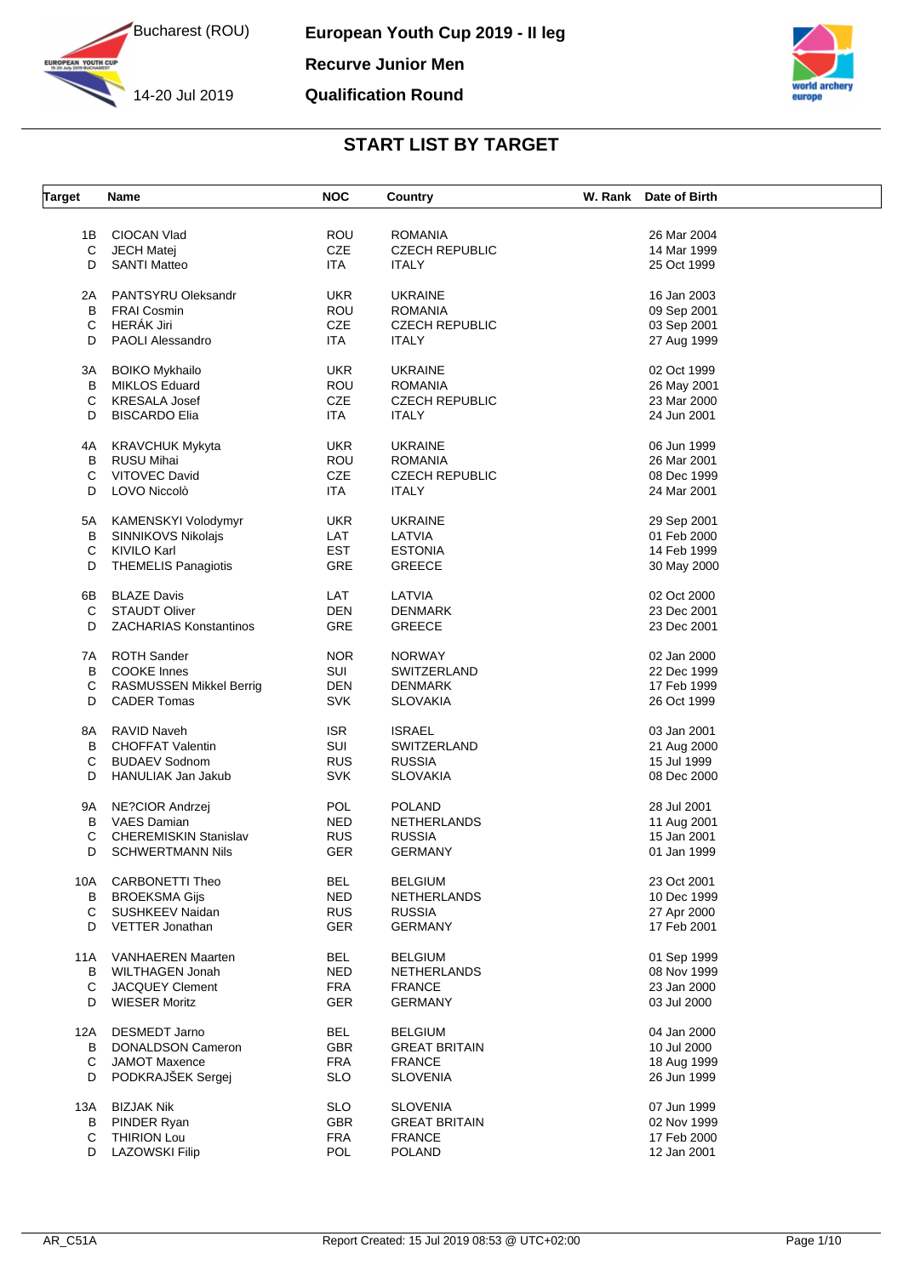



**European Youth Cup 2019 - II leg Recurve Junior Men Qualification Round**



| <b>Target</b> | <b>Name</b>                    | <b>NOC</b>        | Country               | W. Rank | Date of Birth |  |
|---------------|--------------------------------|-------------------|-----------------------|---------|---------------|--|
|               |                                |                   |                       |         |               |  |
| 1Β            | <b>CIOCAN Vlad</b>             | ROU               | <b>ROMANIA</b>        |         | 26 Mar 2004   |  |
| C             | <b>JECH Matej</b>              | <b>CZE</b>        | <b>CZECH REPUBLIC</b> |         | 14 Mar 1999   |  |
| D             | <b>SANTI Matteo</b>            | ITA.              | <b>ITALY</b>          |         | 25 Oct 1999   |  |
| 2Α            | PANTSYRU Oleksandr             | UKR.              | <b>UKRAINE</b>        |         | 16 Jan 2003   |  |
| B             | <b>FRAI Cosmin</b>             | ROU               | <b>ROMANIA</b>        |         | 09 Sep 2001   |  |
| C             | HERÁK Jiri                     | <b>CZE</b>        | <b>CZECH REPUBLIC</b> |         | 03 Sep 2001   |  |
|               |                                |                   |                       |         |               |  |
| D             | <b>PAOLI Alessandro</b>        | ITA.              | <b>ITALY</b>          |         | 27 Aug 1999   |  |
| ЗA            | <b>BOIKO Mykhailo</b>          | <b>UKR</b>        | <b>UKRAINE</b>        |         | 02 Oct 1999   |  |
| В             | <b>MIKLOS Eduard</b>           | ROU               | <b>ROMANIA</b>        |         | 26 May 2001   |  |
| С             | <b>KRESALA Josef</b>           | <b>CZE</b>        | <b>CZECH REPUBLIC</b> |         | 23 Mar 2000   |  |
| D             | <b>BISCARDO Elia</b>           | ITA               | <b>ITALY</b>          |         | 24 Jun 2001   |  |
| 4Α            | <b>KRAVCHUK Mykyta</b>         | <b>UKR</b>        | <b>UKRAINE</b>        |         | 06 Jun 1999   |  |
| в             | <b>RUSU Mihai</b>              | ROU               | <b>ROMANIA</b>        |         | 26 Mar 2001   |  |
| С             | <b>VITOVEC David</b>           | <b>CZE</b>        |                       |         | 08 Dec 1999   |  |
|               |                                |                   | <b>CZECH REPUBLIC</b> |         |               |  |
| D             | LOVO Niccolò                   | ITA               | <b>ITALY</b>          |         | 24 Mar 2001   |  |
| 5А            | KAMENSKYI Volodymyr            | UKR.              | <b>UKRAINE</b>        |         | 29 Sep 2001   |  |
| в             | SINNIKOVS Nikolajs             | LAT               | LATVIA                |         | 01 Feb 2000   |  |
| С             | KIVILO Karl                    | <b>EST</b>        | <b>ESTONIA</b>        |         | 14 Feb 1999   |  |
| D             | <b>THEMELIS Panagiotis</b>     | GRE               | <b>GREECE</b>         |         | 30 May 2000   |  |
|               | <b>BLAZE Davis</b>             |                   |                       |         |               |  |
| 6В            | <b>STAUDT Oliver</b>           | LAT<br><b>DEN</b> | LATVIA                |         | 02 Oct 2000   |  |
| C             |                                |                   | <b>DENMARK</b>        |         | 23 Dec 2001   |  |
| D             | <b>ZACHARIAS Konstantinos</b>  | GRE               | <b>GREECE</b>         |         | 23 Dec 2001   |  |
| 7A            | <b>ROTH Sander</b>             | <b>NOR</b>        | <b>NORWAY</b>         |         | 02 Jan 2000   |  |
| В             | <b>COOKE</b> Innes             | SUI               | SWITZERLAND           |         | 22 Dec 1999   |  |
| С             | <b>RASMUSSEN Mikkel Berrig</b> | DEN               | <b>DENMARK</b>        |         | 17 Feb 1999   |  |
| D             | <b>CADER Tomas</b>             | <b>SVK</b>        | <b>SLOVAKIA</b>       |         | 26 Oct 1999   |  |
| 8A            | <b>RAVID Naveh</b>             | <b>ISR</b>        | <b>ISRAEL</b>         |         | 03 Jan 2001   |  |
| B             | <b>CHOFFAT Valentin</b>        | <b>SUI</b>        | SWITZERLAND           |         | 21 Aug 2000   |  |
| С             | <b>BUDAEV Sodnom</b>           | <b>RUS</b>        | <b>RUSSIA</b>         |         | 15 Jul 1999   |  |
|               |                                |                   |                       |         |               |  |
| D             | <b>HANULIAK Jan Jakub</b>      | <b>SVK</b>        | <b>SLOVAKIA</b>       |         | 08 Dec 2000   |  |
| 9A            | NE?CIOR Andrzej                | POL               | <b>POLAND</b>         |         | 28 Jul 2001   |  |
| B             | <b>VAES Damian</b>             | NED.              | <b>NETHERLANDS</b>    |         | 11 Aug 2001   |  |
| С             | <b>CHEREMISKIN Stanislav</b>   | <b>RUS</b>        | <b>RUSSIA</b>         |         | 15 Jan 2001   |  |
| D             | <b>SCHWERTMANN Nils</b>        | GER               | <b>GERMANY</b>        |         | 01 Jan 1999   |  |
| 10A           | <b>CARBONETTI Theo</b>         | <b>BEL</b>        | <b>BELGIUM</b>        |         | 23 Oct 2001   |  |
| B             | <b>BROEKSMA Gijs</b>           | NED               | NETHERLANDS           |         | 10 Dec 1999   |  |
| С             | SUSHKEEV Naidan                | <b>RUS</b>        | <b>RUSSIA</b>         |         | 27 Apr 2000   |  |
|               |                                |                   |                       |         |               |  |
| D             | VETTER Jonathan                | <b>GER</b>        | <b>GERMANY</b>        |         | 17 Feb 2001   |  |
| 11A           | <b>VANHAEREN Maarten</b>       | <b>BEL</b>        | <b>BELGIUM</b>        |         | 01 Sep 1999   |  |
| В             | <b>WILTHAGEN Jonah</b>         | <b>NED</b>        | NETHERLANDS           |         | 08 Nov 1999   |  |
| C             | JACQUEY Clement                | <b>FRA</b>        | <b>FRANCE</b>         |         | 23 Jan 2000   |  |
| D             | <b>WIESER Moritz</b>           | GER               | <b>GERMANY</b>        |         | 03 Jul 2000   |  |
|               |                                |                   |                       |         |               |  |
| 12A           | <b>DESMEDT Jarno</b>           | <b>BEL</b>        | <b>BELGIUM</b>        |         | 04 Jan 2000   |  |
| B             | <b>DONALDSON Cameron</b>       | GBR               | <b>GREAT BRITAIN</b>  |         | 10 Jul 2000   |  |
| С             | <b>JAMOT Maxence</b>           | <b>FRA</b>        | <b>FRANCE</b>         |         | 18 Aug 1999   |  |
| D             | PODKRAJŠEK Sergej              | <b>SLO</b>        | <b>SLOVENIA</b>       |         | 26 Jun 1999   |  |
| 13A           | <b>BIZJAK Nik</b>              | <b>SLO</b>        | <b>SLOVENIA</b>       |         | 07 Jun 1999   |  |
| В             | PINDER Ryan                    | <b>GBR</b>        | <b>GREAT BRITAIN</b>  |         | 02 Nov 1999   |  |
| С             | <b>THIRION Lou</b>             | <b>FRA</b>        | <b>FRANCE</b>         |         | 17 Feb 2000   |  |
| D             | <b>LAZOWSKI Filip</b>          | POL               | <b>POLAND</b>         |         | 12 Jan 2001   |  |
|               |                                |                   |                       |         |               |  |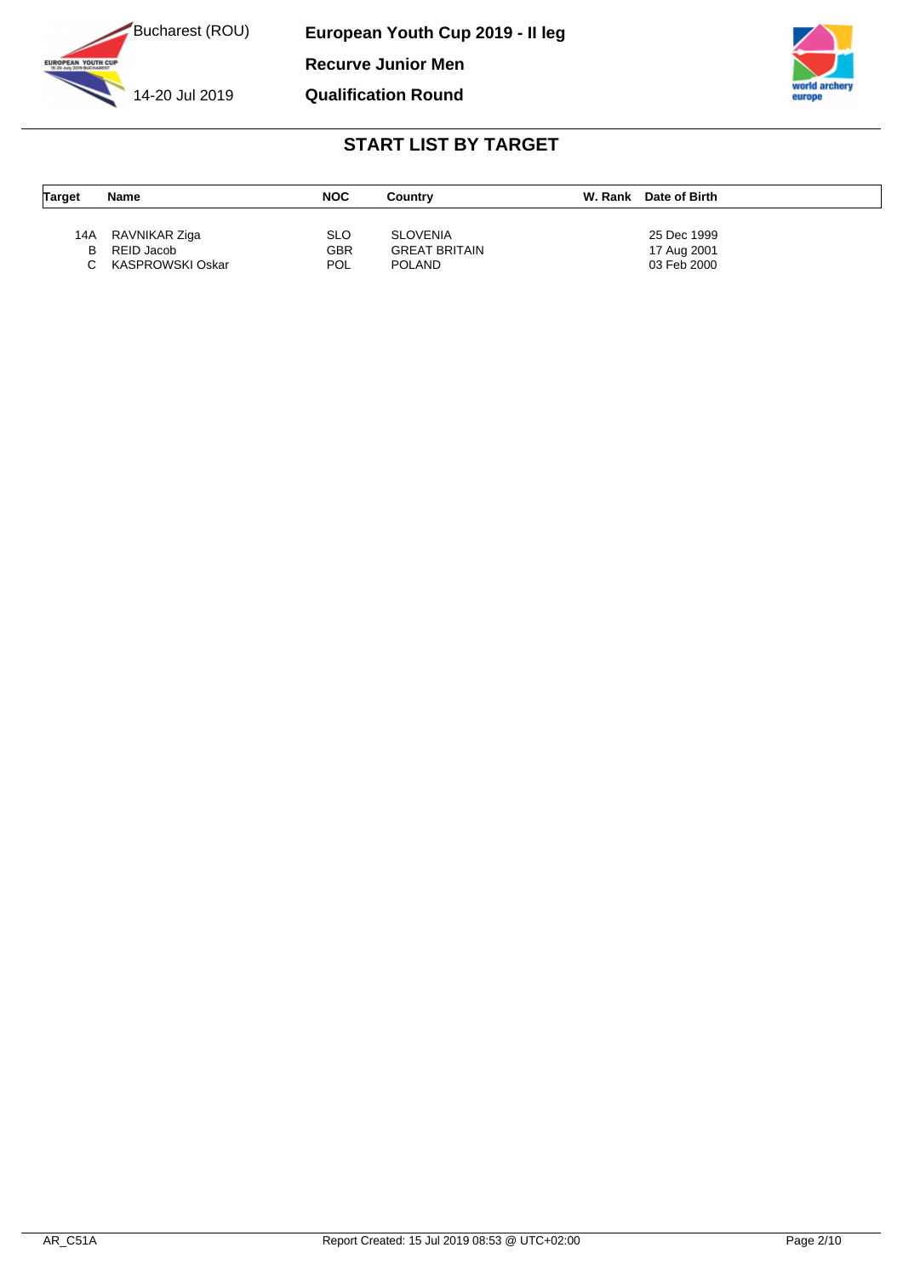

**European Youth Cup 2019 - II leg Recurve Junior Men Qualification Round**



| <b>Target</b> | <b>Name</b>      | <b>NOC</b> | Country              | W. Rank | Date of Birth |
|---------------|------------------|------------|----------------------|---------|---------------|
|               |                  |            |                      |         |               |
| 14A           | RAVNIKAR Ziga    | <b>SLO</b> | <b>SLOVENIA</b>      |         | 25 Dec 1999   |
| В             | REID Jacob       | <b>GBR</b> | <b>GREAT BRITAIN</b> |         | 17 Aug 2001   |
|               | KASPROWSKI Oskar | <b>POL</b> | <b>POLAND</b>        |         | 03 Feb 2000   |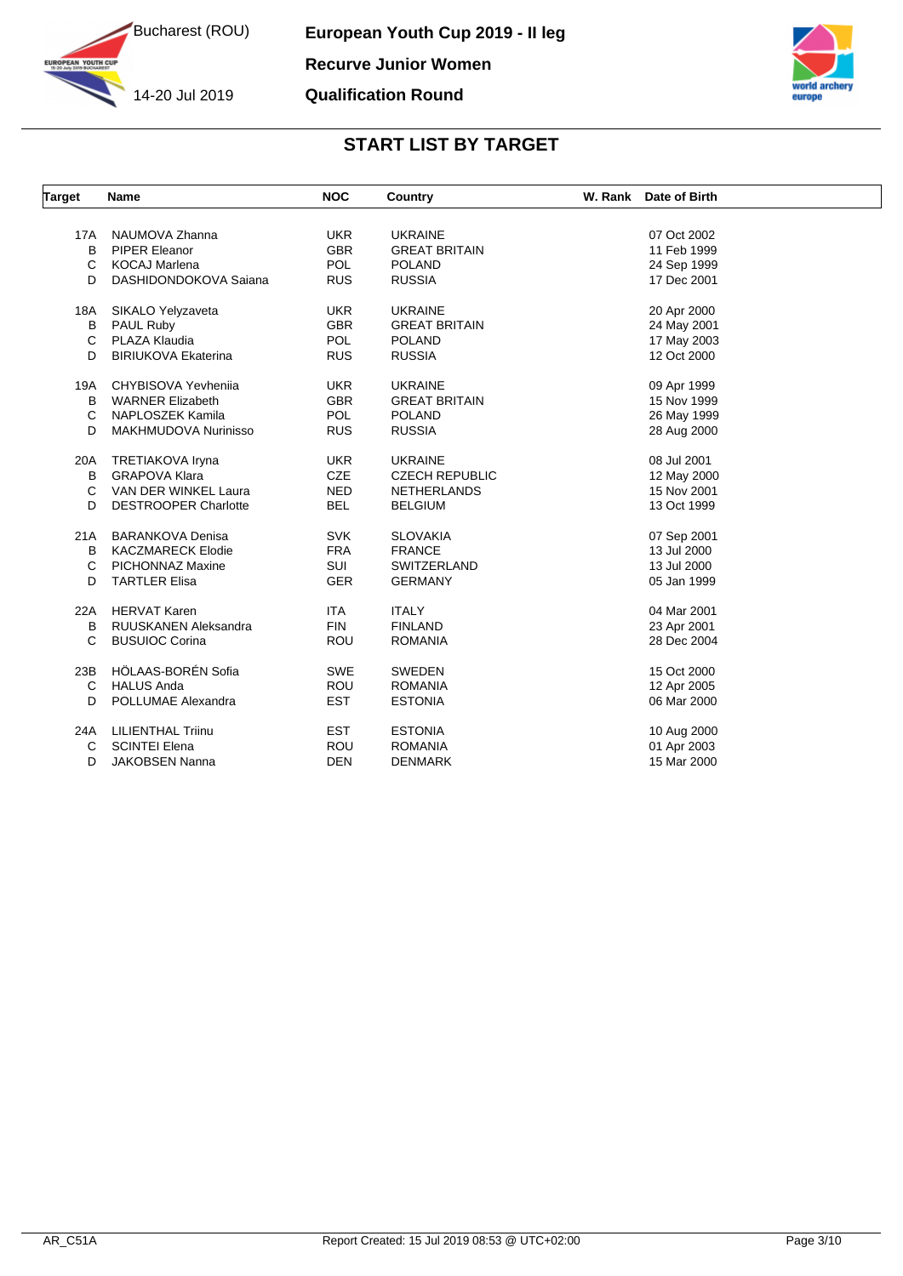

**IN YOUTH CUP** 

14-20 Jul 2019



| <b>Target</b> | <b>Name</b>                 | <b>NOC</b> | Country               | W. Rank Date of Birth |  |
|---------------|-----------------------------|------------|-----------------------|-----------------------|--|
|               |                             |            |                       |                       |  |
| 17A           | NAUMOVA Zhanna              | <b>UKR</b> | <b>UKRAINE</b>        | 07 Oct 2002           |  |
| B             | PIPER Eleanor               | <b>GBR</b> | <b>GREAT BRITAIN</b>  | 11 Feb 1999           |  |
| C             | <b>KOCAJ Marlena</b>        | <b>POL</b> | <b>POLAND</b>         | 24 Sep 1999           |  |
| D             | DASHIDONDOKOVA Sajana       | <b>RUS</b> | <b>RUSSIA</b>         | 17 Dec 2001           |  |
| 18A           | SIKALO Yelyzaveta           | <b>UKR</b> | <b>UKRAINE</b>        | 20 Apr 2000           |  |
| B             | <b>PAUL Ruby</b>            | <b>GBR</b> | <b>GREAT BRITAIN</b>  | 24 May 2001           |  |
| C             | PLAZA Klaudia               | <b>POL</b> | <b>POLAND</b>         | 17 May 2003           |  |
| D             | <b>BIRIUKOVA Ekaterina</b>  | <b>RUS</b> | <b>RUSSIA</b>         | 12 Oct 2000           |  |
| 19A           | CHYBISOVA Yevhenija         | <b>UKR</b> | <b>UKRAINE</b>        | 09 Apr 1999           |  |
| B             | <b>WARNER Elizabeth</b>     | <b>GBR</b> | <b>GREAT BRITAIN</b>  | 15 Nov 1999           |  |
| C             | NAPLOSZEK Kamila            | <b>POL</b> | <b>POLAND</b>         | 26 May 1999           |  |
| D             | MAKHMUDOVA Nurinisso        | <b>RUS</b> | <b>RUSSIA</b>         | 28 Aug 2000           |  |
| 20A           | TRETIAKOVA Iryna            | <b>UKR</b> | <b>UKRAINE</b>        | 08 Jul 2001           |  |
| B             | <b>GRAPOVA Klara</b>        | <b>CZE</b> | <b>CZECH REPUBLIC</b> | 12 May 2000           |  |
| C             | VAN DER WINKEL Laura        | <b>NED</b> | <b>NETHERLANDS</b>    | 15 Nov 2001           |  |
| D             | <b>DESTROOPER Charlotte</b> | <b>BEL</b> | <b>BELGIUM</b>        | 13 Oct 1999           |  |
| 21A           | <b>BARANKOVA Denisa</b>     | <b>SVK</b> | <b>SLOVAKIA</b>       | 07 Sep 2001           |  |
| B             | <b>KACZMARECK Elodie</b>    | <b>FRA</b> | <b>FRANCE</b>         | 13 Jul 2000           |  |
| C             | <b>PICHONNAZ Maxine</b>     | SUI        | SWITZERLAND           | 13 Jul 2000           |  |
| D             | <b>TARTLER Elisa</b>        | <b>GER</b> | <b>GERMANY</b>        | 05 Jan 1999           |  |
| 22A           | <b>HERVAT Karen</b>         | <b>ITA</b> | <b>ITALY</b>          | 04 Mar 2001           |  |
| B             | RUUSKANEN Aleksandra        | <b>FIN</b> | <b>FINLAND</b>        | 23 Apr 2001           |  |
| C             | <b>BUSUIOC Corina</b>       | <b>ROU</b> | <b>ROMANIA</b>        | 28 Dec 2004           |  |
| 23B           | HÖLAAS-BORÉN Sofia          | <b>SWE</b> | <b>SWEDEN</b>         | 15 Oct 2000           |  |
| C             | <b>HALUS Anda</b>           | <b>ROU</b> | <b>ROMANIA</b>        | 12 Apr 2005           |  |
| D             | POLLUMAE Alexandra          | <b>EST</b> | <b>ESTONIA</b>        | 06 Mar 2000           |  |
|               |                             |            |                       |                       |  |
| 24A           | <b>LILIENTHAL Triinu</b>    | <b>EST</b> | <b>ESTONIA</b>        | 10 Aug 2000           |  |
| С             | <b>SCINTEI Elena</b>        | <b>ROU</b> | <b>ROMANIA</b>        | 01 Apr 2003           |  |
| D             | <b>JAKOBSEN Nanna</b>       | <b>DEN</b> | <b>DENMARK</b>        | 15 Mar 2000           |  |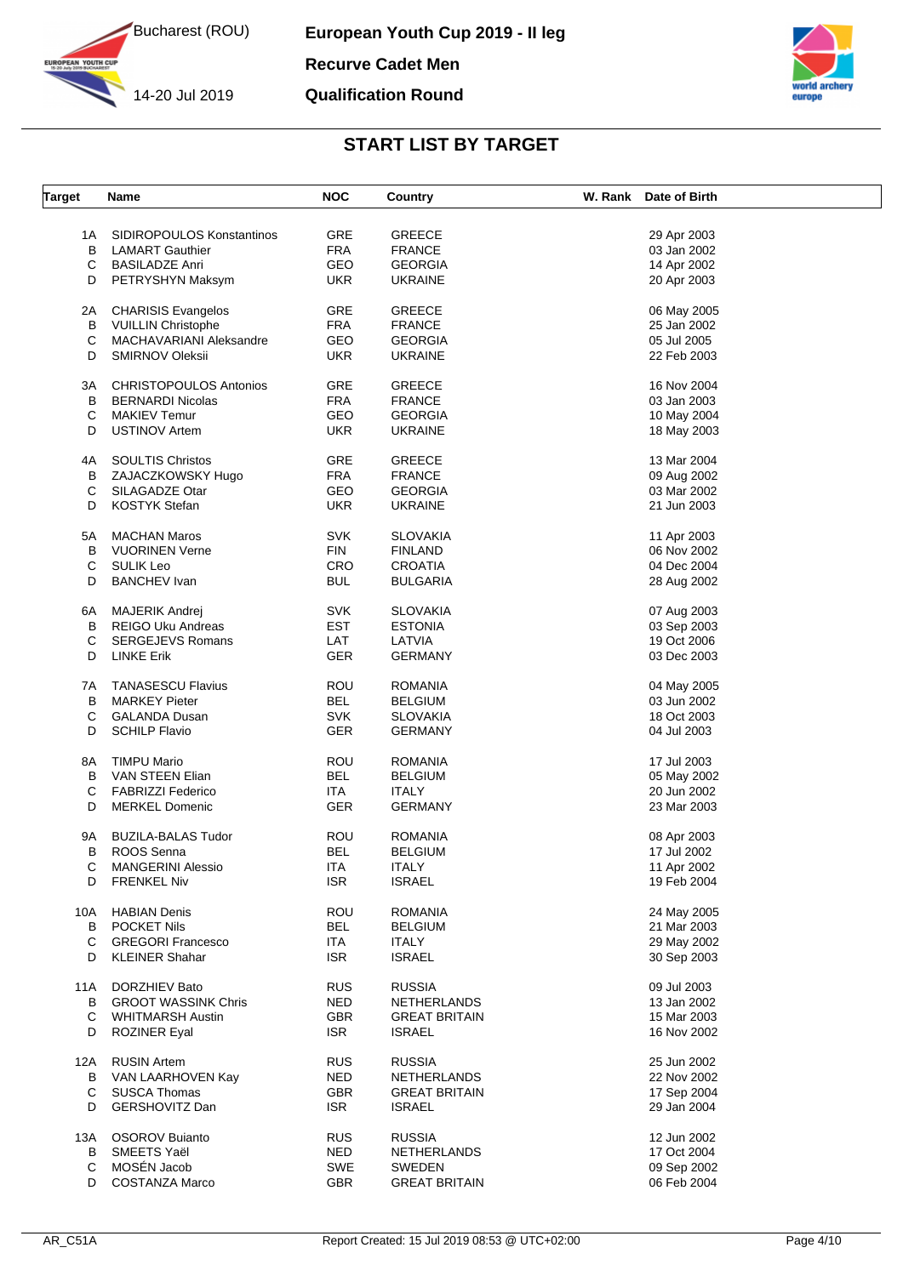

**YOUTH CUP** 

14-20 Jul 2019

**European Youth Cup 2019 - II leg Recurve Cadet Men Qualification Round**



| <b>Target</b> | Name                          | <b>NOC</b> | Country              | W. Rank Date of Birth |  |
|---------------|-------------------------------|------------|----------------------|-----------------------|--|
|               |                               |            |                      |                       |  |
| 1A            | SIDIROPOULOS Konstantinos     | <b>GRE</b> | <b>GREECE</b>        | 29 Apr 2003           |  |
| В             | <b>LAMART Gauthier</b>        | <b>FRA</b> | <b>FRANCE</b>        | 03 Jan 2002           |  |
| С             | <b>BASILADZE Anri</b>         | GEO        | <b>GEORGIA</b>       | 14 Apr 2002           |  |
| D             | PETRYSHYN Maksym              | <b>UKR</b> | <b>UKRAINE</b>       | 20 Apr 2003           |  |
| 2A            | <b>CHARISIS Evangelos</b>     | <b>GRE</b> | <b>GREECE</b>        | 06 May 2005           |  |
| В             | <b>VUILLIN Christophe</b>     | <b>FRA</b> | <b>FRANCE</b>        | 25 Jan 2002           |  |
|               |                               |            |                      |                       |  |
| С             | MACHAVARIANI Aleksandre       | GEO        | <b>GEORGIA</b>       | 05 Jul 2005           |  |
| D             | SMIRNOV Oleksii               | <b>UKR</b> | <b>UKRAINE</b>       | 22 Feb 2003           |  |
| ЗA            | <b>CHRISTOPOULOS Antonios</b> | GRE        | <b>GREECE</b>        | 16 Nov 2004           |  |
| В             | <b>BERNARDI Nicolas</b>       | <b>FRA</b> | <b>FRANCE</b>        | 03 Jan 2003           |  |
| С             | <b>MAKIEV Temur</b>           | GEO        | <b>GEORGIA</b>       | 10 May 2004           |  |
| D             | <b>USTINOV Artem</b>          | <b>UKR</b> | <b>UKRAINE</b>       | 18 May 2003           |  |
| 4A            | <b>SOULTIS Christos</b>       | GRE        | <b>GREECE</b>        | 13 Mar 2004           |  |
| В             | ZAJACZKOWSKY Hugo             | <b>FRA</b> | <b>FRANCE</b>        | 09 Aug 2002           |  |
|               |                               |            |                      |                       |  |
| С             | SILAGADZE Otar                | GEO        | <b>GEORGIA</b>       | 03 Mar 2002           |  |
| D             | KOSTYK Stefan                 | <b>UKR</b> | <b>UKRAINE</b>       | 21 Jun 2003           |  |
| 5А            | <b>MACHAN Maros</b>           | <b>SVK</b> | <b>SLOVAKIA</b>      | 11 Apr 2003           |  |
| В             | <b>VUORINEN Verne</b>         | <b>FIN</b> | <b>FINLAND</b>       | 06 Nov 2002           |  |
| С             | <b>SULIK Leo</b>              | <b>CRO</b> | <b>CROATIA</b>       | 04 Dec 2004           |  |
| D             | <b>BANCHEV</b> Ivan           | <b>BUL</b> | <b>BULGARIA</b>      | 28 Aug 2002           |  |
|               |                               |            |                      |                       |  |
| 6A            | <b>MAJERIK Andrej</b>         | <b>SVK</b> | <b>SLOVAKIA</b>      | 07 Aug 2003           |  |
| B             | REIGO Uku Andreas             | <b>EST</b> | <b>ESTONIA</b>       | 03 Sep 2003           |  |
| С             | <b>SERGEJEVS Romans</b>       | LAT        | LATVIA               | 19 Oct 2006           |  |
| D             | <b>LINKE Erik</b>             | <b>GER</b> | GERMANY              | 03 Dec 2003           |  |
|               |                               |            |                      |                       |  |
| 7A            | <b>TANASESCU Flavius</b>      | <b>ROU</b> | <b>ROMANIA</b>       | 04 May 2005           |  |
| В             | <b>MARKEY Pieter</b>          | <b>BEL</b> | <b>BELGIUM</b>       | 03 Jun 2002           |  |
| С             | <b>GALANDA Dusan</b>          | <b>SVK</b> | <b>SLOVAKIA</b>      | 18 Oct 2003           |  |
| D             | <b>SCHILP Flavio</b>          | <b>GER</b> | GERMANY              | 04 Jul 2003           |  |
| 8Α            | <b>TIMPU Mario</b>            | ROU        | <b>ROMANIA</b>       | 17 Jul 2003           |  |
| В             | <b>VAN STEEN Elian</b>        | <b>BEL</b> |                      |                       |  |
|               |                               |            | <b>BELGIUM</b>       | 05 May 2002           |  |
| С             | <b>FABRIZZI Federico</b>      | ITA.       | <b>ITALY</b>         | 20 Jun 2002           |  |
| D             | <b>MERKEL Domenic</b>         | <b>GER</b> | <b>GERMANY</b>       | 23 Mar 2003           |  |
| 9Α            | <b>BUZILA-BALAS Tudor</b>     | <b>ROU</b> | <b>ROMANIA</b>       | 08 Apr 2003           |  |
| в             | ROOS Senna                    | BEL        | <b>BELGIUM</b>       | 17 Jul 2002           |  |
|               | <b>MANGERINI Alessio</b>      |            |                      |                       |  |
| С             |                               | ITA        | <b>ITALY</b>         | 11 Apr 2002           |  |
| D             | <b>FRENKEL Niv</b>            | <b>ISR</b> | <b>ISRAEL</b>        | 19 Feb 2004           |  |
| 10A           | <b>HABIAN Denis</b>           | <b>ROU</b> | <b>ROMANIA</b>       | 24 May 2005           |  |
| B             | <b>POCKET Nils</b>            | <b>BEL</b> | <b>BELGIUM</b>       | 21 Mar 2003           |  |
|               |                               |            |                      |                       |  |
| С             | <b>GREGORI Francesco</b>      | <b>ITA</b> | <b>ITALY</b>         | 29 May 2002           |  |
| D             | <b>KLEINER Shahar</b>         | <b>ISR</b> | <b>ISRAEL</b>        | 30 Sep 2003           |  |
| 11A           | DORZHIEV Bato                 | <b>RUS</b> | <b>RUSSIA</b>        | 09 Jul 2003           |  |
| B             | <b>GROOT WASSINK Chris</b>    | <b>NED</b> | <b>NETHERLANDS</b>   | 13 Jan 2002           |  |
| C             | <b>WHITMARSH Austin</b>       | <b>GBR</b> | <b>GREAT BRITAIN</b> | 15 Mar 2003           |  |
| D             | <b>ROZINER Eyal</b>           | <b>ISR</b> | ISRAEL               | 16 Nov 2002           |  |
|               |                               |            |                      |                       |  |
| 12A           | <b>RUSIN Artem</b>            | <b>RUS</b> | <b>RUSSIA</b>        | 25 Jun 2002           |  |
| В             | VAN LAARHOVEN Kay             | <b>NED</b> | <b>NETHERLANDS</b>   | 22 Nov 2002           |  |
| С             | <b>SUSCA Thomas</b>           | GBR        | <b>GREAT BRITAIN</b> | 17 Sep 2004           |  |
| D             | GERSHOVITZ Dan                | <b>ISR</b> | <b>ISRAEL</b>        | 29 Jan 2004           |  |
| 13A           | <b>OSOROV Buianto</b>         | <b>RUS</b> | <b>RUSSIA</b>        | 12 Jun 2002           |  |
| B             | SMEETS Yaël                   | NED        | NETHERLANDS          | 17 Oct 2004           |  |
|               | MOSÉN Jacob                   |            |                      |                       |  |
| С             |                               | <b>SWE</b> | SWEDEN               | 09 Sep 2002           |  |
| D             | <b>COSTANZA Marco</b>         | <b>GBR</b> | <b>GREAT BRITAIN</b> | 06 Feb 2004           |  |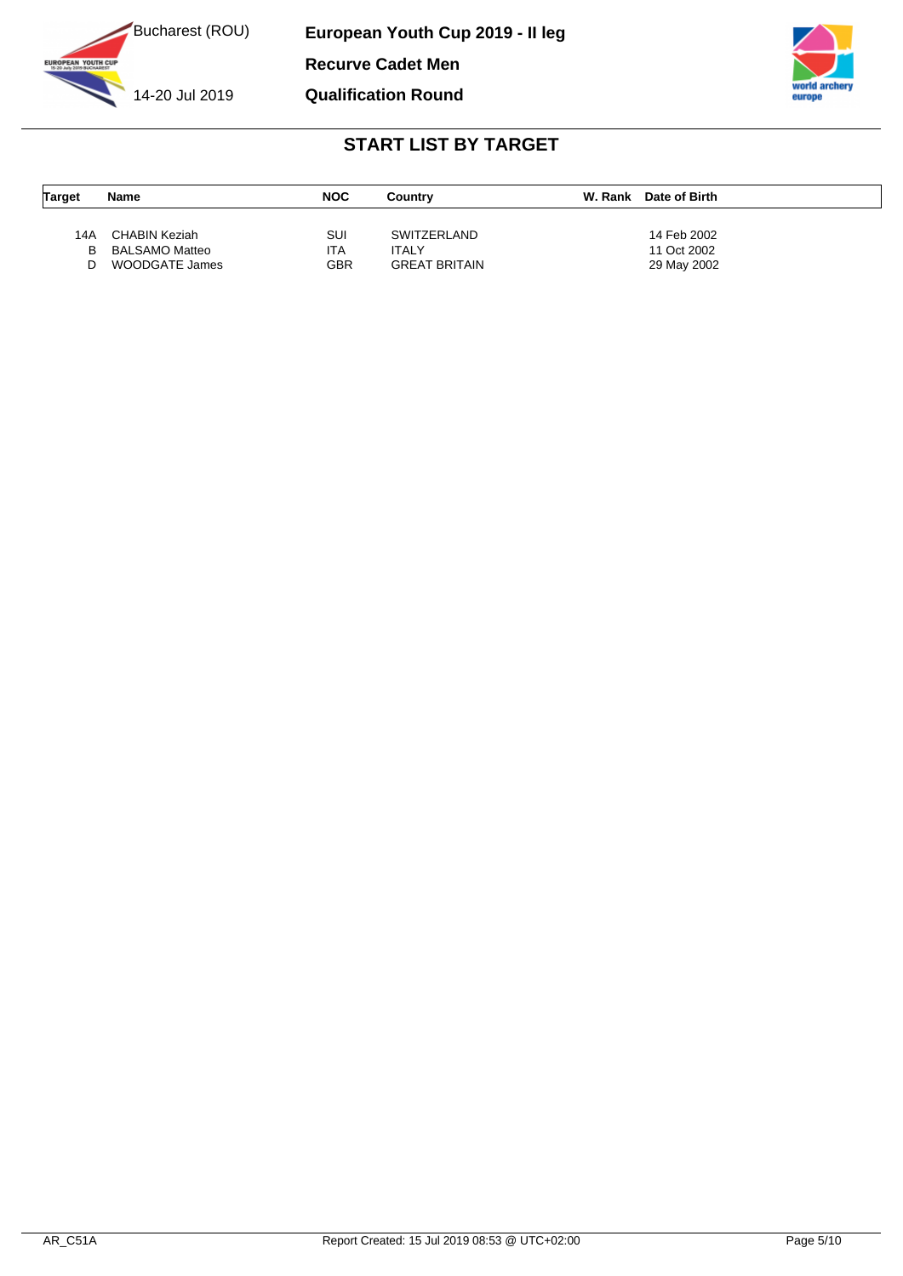

**European Youth Cup 2019 - II leg Recurve Cadet Men Qualification Round**



| <b>Target</b> | <b>Name</b>    | <b>NOC</b> | Country              | W. Rank | Date of Birth |
|---------------|----------------|------------|----------------------|---------|---------------|
|               |                |            |                      |         |               |
| 14A           | CHABIN Keziah  | SUI        | <b>SWITZERLAND</b>   |         | 14 Feb 2002   |
| в             | BALSAMO Matteo | ITA        | ITALY                |         | 11 Oct 2002   |
| n             | WOODGATE James | GBR        | <b>GREAT BRITAIN</b> |         | 29 May 2002   |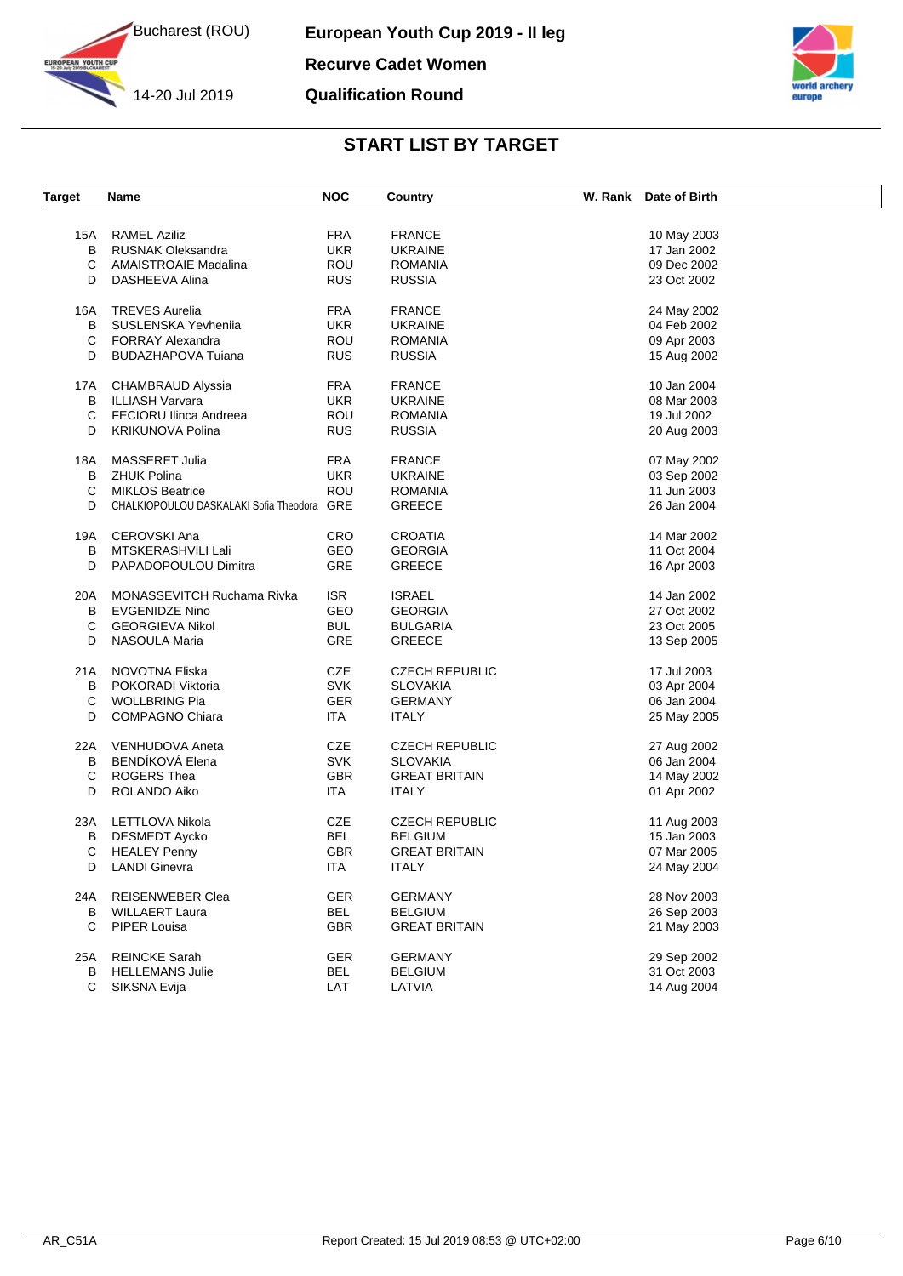

YOUTH CUP





| <b>Target</b> | Name                                       | <b>NOC</b>        | Country                  | W. Rank Date of Birth      |  |
|---------------|--------------------------------------------|-------------------|--------------------------|----------------------------|--|
|               |                                            |                   |                          |                            |  |
| 15A           | <b>RAMEL Aziliz</b>                        | <b>FRA</b>        | <b>FRANCE</b>            | 10 May 2003                |  |
| B             | <b>RUSNAK Oleksandra</b>                   | <b>UKR</b>        | <b>UKRAINE</b>           | 17 Jan 2002                |  |
| C             | <b>AMAISTROAIE Madalina</b>                | ROU               | <b>ROMANIA</b>           | 09 Dec 2002                |  |
| D             | DASHEEVA Alina                             | <b>RUS</b>        | <b>RUSSIA</b>            | 23 Oct 2002                |  |
| 16A           | <b>TREVES Aurelia</b>                      | <b>FRA</b>        | <b>FRANCE</b>            | 24 May 2002                |  |
| B             | SUSLENSKA Yevheniia                        | <b>UKR</b>        | <b>UKRAINE</b>           | 04 Feb 2002                |  |
| C             | <b>FORRAY Alexandra</b>                    | ROU               | <b>ROMANIA</b>           | 09 Apr 2003                |  |
| D             | <b>BUDAZHAPOVA Tuiana</b>                  | <b>RUS</b>        | <b>RUSSIA</b>            | 15 Aug 2002                |  |
| 17A           | <b>CHAMBRAUD Alyssia</b>                   | <b>FRA</b>        | <b>FRANCE</b>            | 10 Jan 2004                |  |
| В             | <b>ILLIASH Varvara</b>                     | UKR.              | <b>UKRAINE</b>           | 08 Mar 2003                |  |
| С             | <b>FECIORU Ilinca Andreea</b>              | ROU               | <b>ROMANIA</b>           | 19 Jul 2002                |  |
| D             | <b>KRIKUNOVA Polina</b>                    | <b>RUS</b>        | <b>RUSSIA</b>            | 20 Aug 2003                |  |
|               |                                            |                   |                          |                            |  |
| 18A           | MASSERET Julia                             | FRA               | <b>FRANCE</b>            | 07 May 2002                |  |
| В             | <b>ZHUK Polina</b>                         | UKR.              | <b>UKRAINE</b>           | 03 Sep 2002                |  |
| C             | <b>MIKLOS Beatrice</b>                     | ROU               | <b>ROMANIA</b>           | 11 Jun 2003                |  |
| D             | CHALKIOPOULOU DASKALAKI Sofia Theodora GRE |                   | <b>GREECE</b>            | 26 Jan 2004                |  |
| 19A           | <b>CEROVSKI Ana</b>                        | <b>CRO</b>        | <b>CROATIA</b>           | 14 Mar 2002                |  |
| B             | MTSKERASHVILI Lali                         | GEO               | <b>GEORGIA</b>           | 11 Oct 2004                |  |
| D             | PAPADOPOULOU Dimitra                       | <b>GRE</b>        | <b>GREECE</b>            | 16 Apr 2003                |  |
| 20A           | MONASSEVITCH Ruchama Rivka                 | <b>ISR</b>        | <b>ISRAEL</b>            | 14 Jan 2002                |  |
| В             | <b>EVGENIDZE Nino</b>                      | GEO               | <b>GEORGIA</b>           | 27 Oct 2002                |  |
| С             | <b>GEORGIEVA Nikol</b>                     | <b>BUL</b>        | <b>BULGARIA</b>          | 23 Oct 2005                |  |
| D             | NASOULA Maria                              | <b>GRE</b>        | <b>GREECE</b>            | 13 Sep 2005                |  |
| 21A           | NOVOTNA Eliska                             | CZE               | <b>CZECH REPUBLIC</b>    | 17 Jul 2003                |  |
| B             | POKORADI Viktoria                          | <b>SVK</b>        | <b>SLOVAKIA</b>          | 03 Apr 2004                |  |
| С             | <b>WOLLBRING Pia</b>                       | <b>GER</b>        | <b>GERMANY</b>           | 06 Jan 2004                |  |
| D             | <b>COMPAGNO Chiara</b>                     | <b>ITA</b>        | <b>ITALY</b>             | 25 May 2005                |  |
|               |                                            |                   |                          |                            |  |
| 22A           | VENHUDOVA Aneta                            | CZE               | <b>CZECH REPUBLIC</b>    | 27 Aug 2002                |  |
| B             | BENDÍKOVÁ Elena                            | <b>SVK</b>        | <b>SLOVAKIA</b>          | 06 Jan 2004                |  |
| C             | ROGERS Thea                                | <b>GBR</b>        | <b>GREAT BRITAIN</b>     | 14 May 2002                |  |
| D             | ROLANDO Aiko                               | ITA.              | <b>ITALY</b>             | 01 Apr 2002                |  |
| 23A           | LETTLOVA Nikola                            | CZE               | <b>CZECH REPUBLIC</b>    | 11 Aug 2003                |  |
| В             | <b>DESMEDT Aycko</b>                       | BEL               | <b>BELGIUM</b>           | 15 Jan 2003                |  |
| С             | <b>HEALEY Penny</b>                        | <b>GBR</b>        | <b>GREAT BRITAIN</b>     | 07 Mar 2005                |  |
|               | D LANDI Ginevra                            | <b>ITA</b>        | ITALY                    | 24 May 2004                |  |
| 24A           | REISENWEBER Clea                           | <b>GER</b>        | <b>GERMANY</b>           | 28 Nov 2003                |  |
| В             | <b>WILLAERT Laura</b>                      | <b>BEL</b>        | <b>BELGIUM</b>           | 26 Sep 2003                |  |
| C             | PIPER Louisa                               | <b>GBR</b>        | <b>GREAT BRITAIN</b>     | 21 May 2003                |  |
| 25A           | <b>REINCKE Sarah</b>                       | <b>GER</b>        | <b>GERMANY</b>           | 29 Sep 2002                |  |
|               |                                            |                   |                          |                            |  |
| в<br>C        | <b>HELLEMANS Julie</b>                     | <b>BEL</b><br>LAT | <b>BELGIUM</b><br>LATVIA | 31 Oct 2003<br>14 Aug 2004 |  |
|               | SIKSNA Evija                               |                   |                          |                            |  |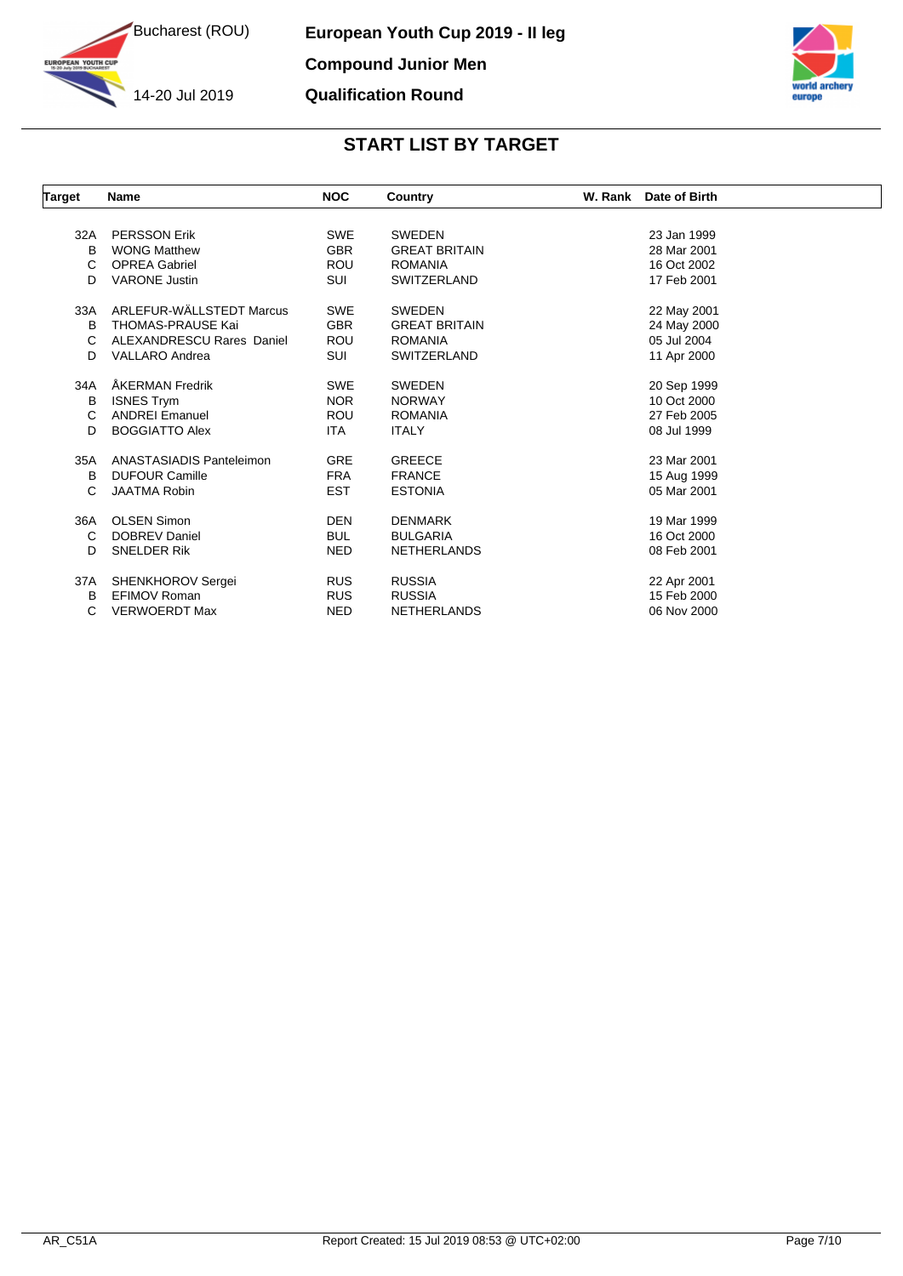

**YOUTH CUP** 



| <b>Target</b> | Name                      | <b>NOC</b> | Country              | W. Rank<br>Date of Birth |
|---------------|---------------------------|------------|----------------------|--------------------------|
|               |                           |            |                      |                          |
| 32A           | <b>PERSSON Erik</b>       | <b>SWE</b> | <b>SWEDEN</b>        | 23 Jan 1999              |
| B             | <b>WONG Matthew</b>       | <b>GBR</b> | <b>GREAT BRITAIN</b> | 28 Mar 2001              |
| С             | <b>OPREA Gabriel</b>      | <b>ROU</b> | <b>ROMANIA</b>       | 16 Oct 2002              |
| D             | <b>VARONE Justin</b>      | SUI        | <b>SWITZERLAND</b>   | 17 Feb 2001              |
| 33A           | ARLEFUR-WÄLLSTEDT Marcus  | <b>SWE</b> | <b>SWEDEN</b>        | 22 May 2001              |
| в             | <b>THOMAS-PRAUSE Kai</b>  | <b>GBR</b> | <b>GREAT BRITAIN</b> | 24 May 2000              |
| С             | ALEXANDRESCU Rares Daniel | <b>ROU</b> | <b>ROMANIA</b>       | 05 Jul 2004              |
| D             | <b>VALLARO Andrea</b>     | SUI        | SWITZERLAND          | 11 Apr 2000              |
| 34A           | ÅKERMAN Fredrik           | <b>SWE</b> | <b>SWEDEN</b>        | 20 Sep 1999              |
| в             | <b>ISNES Trym</b>         | <b>NOR</b> | <b>NORWAY</b>        | 10 Oct 2000              |
| C             | <b>ANDREI Emanuel</b>     | <b>ROU</b> | <b>ROMANIA</b>       | 27 Feb 2005              |
| D             | <b>BOGGIATTO Alex</b>     | <b>ITA</b> | <b>ITALY</b>         | 08 Jul 1999              |
| 35A           | ANASTASIADIS Panteleimon  | <b>GRE</b> | <b>GREECE</b>        | 23 Mar 2001              |
| в             | <b>DUFOUR Camille</b>     | <b>FRA</b> | <b>FRANCE</b>        | 15 Aug 1999              |
| С             | <b>JAATMA Robin</b>       | <b>EST</b> | <b>ESTONIA</b>       | 05 Mar 2001              |
| 36A           | <b>OLSEN Simon</b>        | <b>DEN</b> | <b>DENMARK</b>       | 19 Mar 1999              |
| C             | <b>DOBREV Daniel</b>      | <b>BUL</b> | <b>BULGARIA</b>      | 16 Oct 2000              |
| D             | <b>SNELDER Rik</b>        | <b>NED</b> | <b>NETHERLANDS</b>   | 08 Feb 2001              |
| 37A           | SHENKHOROV Sergei         | <b>RUS</b> | <b>RUSSIA</b>        | 22 Apr 2001              |
| в             | EFIMOV Roman              | <b>RUS</b> | <b>RUSSIA</b>        | 15 Feb 2000              |
| С             | <b>VERWOERDT Max</b>      | <b>NED</b> | <b>NETHERLANDS</b>   | 06 Nov 2000              |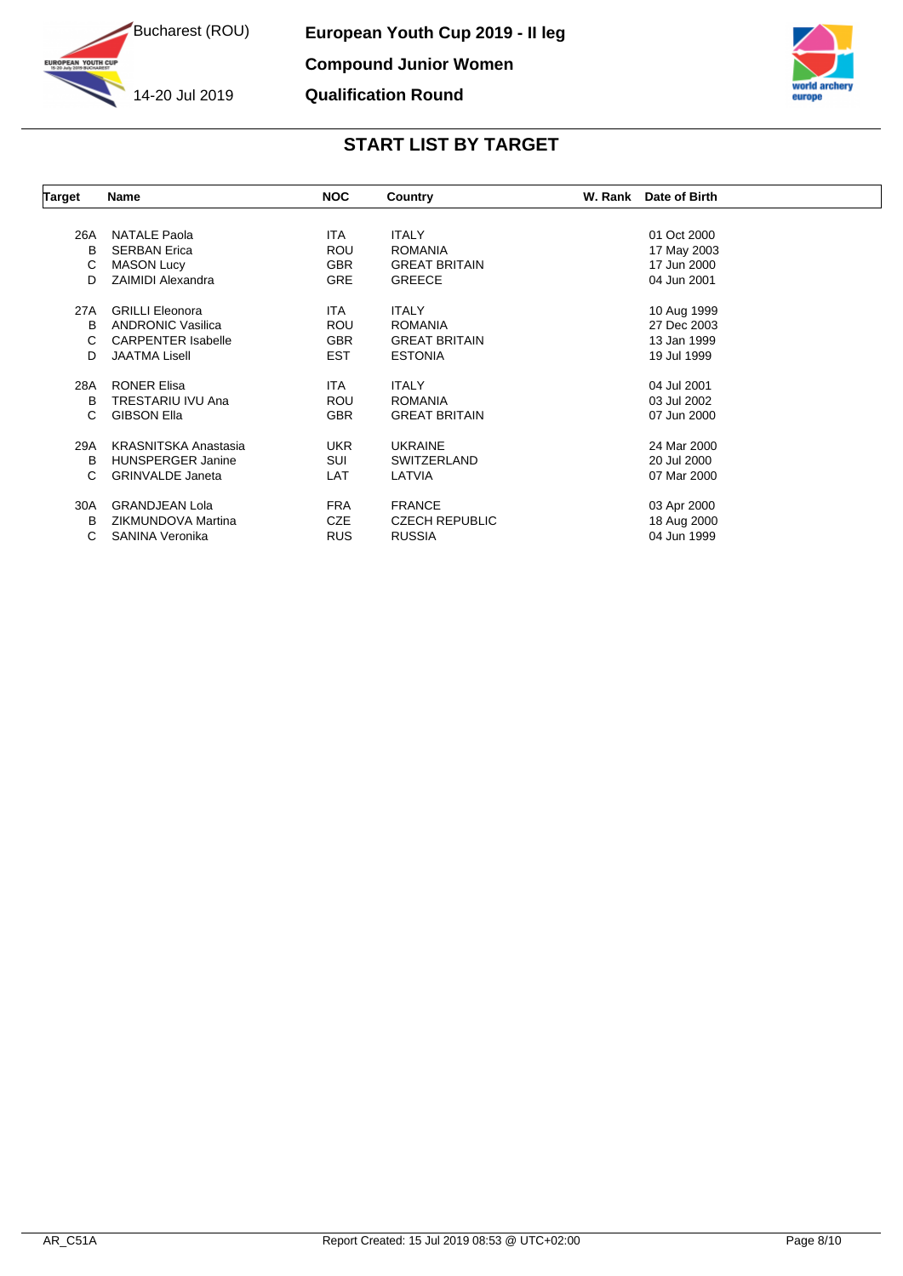

**YOUTH CUP** 



| Target | Name                        | <b>NOC</b> | Country               | W. Rank | Date of Birth |  |
|--------|-----------------------------|------------|-----------------------|---------|---------------|--|
|        |                             |            |                       |         |               |  |
| 26A    | <b>NATALE Paola</b>         | ITA.       | <b>ITALY</b>          |         | 01 Oct 2000   |  |
| B      | <b>SERBAN Erica</b>         | <b>ROU</b> | <b>ROMANIA</b>        |         | 17 May 2003   |  |
| С      | <b>MASON Lucy</b>           | <b>GBR</b> | <b>GREAT BRITAIN</b>  |         | 17 Jun 2000   |  |
| D      | <b>ZAIMIDI Alexandra</b>    | <b>GRE</b> | <b>GREECE</b>         |         | 04 Jun 2001   |  |
| 27A    | <b>GRILLI Eleonora</b>      | ITA.       | <b>ITALY</b>          |         | 10 Aug 1999   |  |
| В      | <b>ANDRONIC Vasilica</b>    | ROU        | <b>ROMANIA</b>        |         | 27 Dec 2003   |  |
| C      | <b>CARPENTER Isabelle</b>   | <b>GBR</b> | <b>GREAT BRITAIN</b>  |         | 13 Jan 1999   |  |
| D      | <b>JAATMA Lisell</b>        | EST        | <b>ESTONIA</b>        |         | 19 Jul 1999   |  |
| 28A    | <b>RONER Elisa</b>          | ITA.       | <b>ITALY</b>          |         | 04 Jul 2001   |  |
| в      | TRESTARIU IVU Ana           | <b>ROU</b> | <b>ROMANIA</b>        |         | 03 Jul 2002   |  |
| С      | <b>GIBSON Ella</b>          | <b>GBR</b> | <b>GREAT BRITAIN</b>  |         | 07 Jun 2000   |  |
| 29A    | <b>KRASNITSKA Anastasia</b> | <b>UKR</b> | <b>UKRAINE</b>        |         | 24 Mar 2000   |  |
| в      | <b>HUNSPERGER Janine</b>    | SUI        | SWITZERLAND           |         | 20 Jul 2000   |  |
| C      | <b>GRINVALDE Janeta</b>     | LAT        | LATVIA                |         | 07 Mar 2000   |  |
| 30A    | <b>GRANDJEAN Lola</b>       | <b>FRA</b> | <b>FRANCE</b>         |         | 03 Apr 2000   |  |
| В      | ZIKMUNDOVA Martina          | <b>CZE</b> | <b>CZECH REPUBLIC</b> |         | 18 Aug 2000   |  |
| С      | SANINA Veronika             | <b>RUS</b> | <b>RUSSIA</b>         |         | 04 Jun 1999   |  |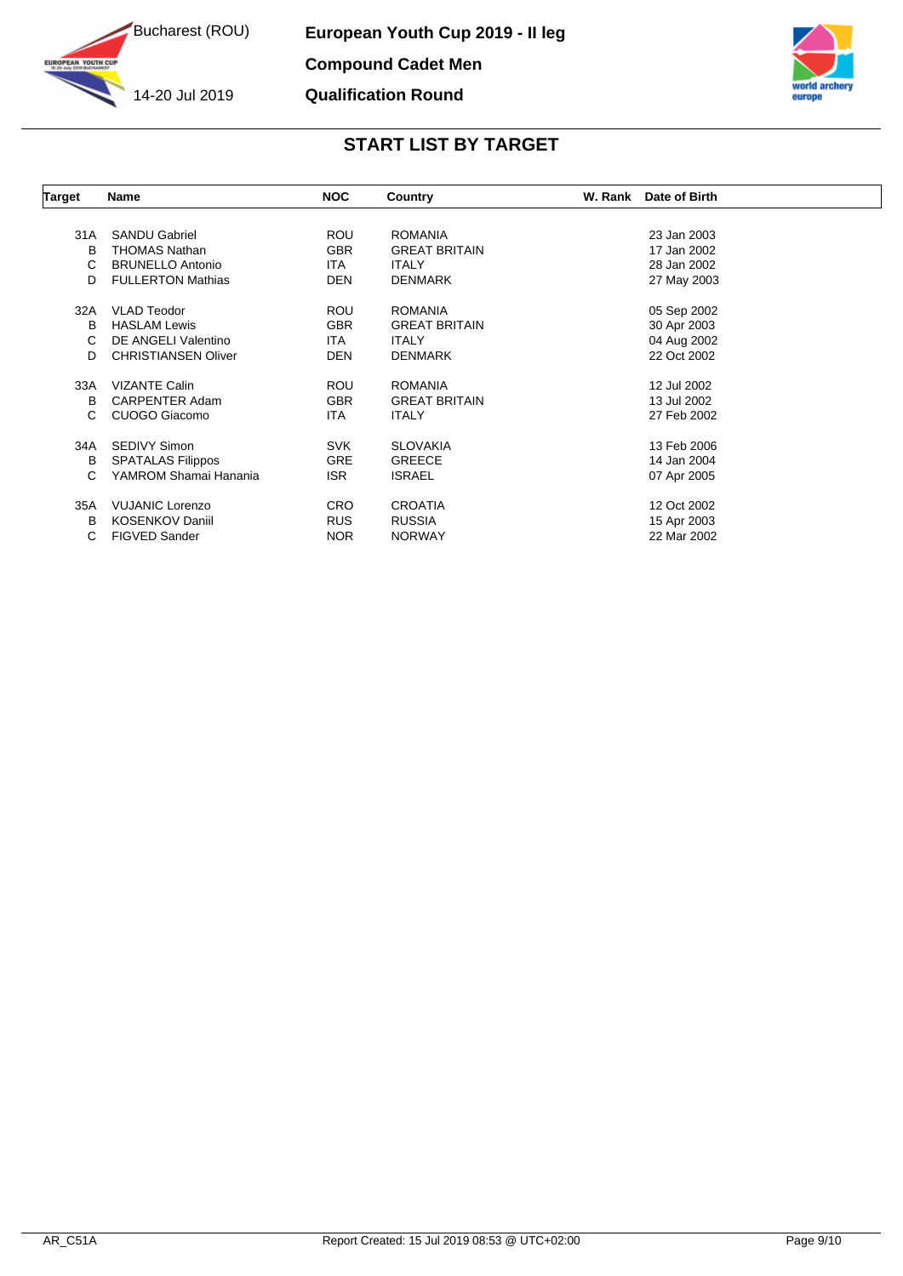

**YOUTH CUP** 

**European Youth Cup 2019 - II leg Compound Cadet Men Qualification Round**



| Target | Name                       | <b>NOC</b> | Country              | W. Rank | Date of Birth |  |
|--------|----------------------------|------------|----------------------|---------|---------------|--|
|        |                            |            |                      |         |               |  |
| 31A    | <b>SANDU Gabriel</b>       | <b>ROU</b> | <b>ROMANIA</b>       |         | 23 Jan 2003   |  |
| B      | <b>THOMAS Nathan</b>       | <b>GBR</b> | <b>GREAT BRITAIN</b> |         | 17 Jan 2002   |  |
| С      | <b>BRUNELLO Antonio</b>    | <b>ITA</b> | <b>ITALY</b>         |         | 28 Jan 2002   |  |
| D      | <b>FULLERTON Mathias</b>   | <b>DEN</b> | <b>DENMARK</b>       |         | 27 May 2003   |  |
| 32A    | <b>VLAD Teodor</b>         | <b>ROU</b> | <b>ROMANIA</b>       |         | 05 Sep 2002   |  |
| в      | <b>HASLAM Lewis</b>        | <b>GBR</b> | <b>GREAT BRITAIN</b> |         | 30 Apr 2003   |  |
| С      | DE ANGELI Valentino        | ITA.       | <b>ITALY</b>         |         | 04 Aug 2002   |  |
| D      | <b>CHRISTIANSEN Oliver</b> | <b>DEN</b> | <b>DENMARK</b>       |         | 22 Oct 2002   |  |
| 33A    | <b>VIZANTE Calin</b>       | <b>ROU</b> | <b>ROMANIA</b>       |         | 12 Jul 2002   |  |
| B      | CARPENTER Adam             | <b>GBR</b> | <b>GREAT BRITAIN</b> |         | 13 Jul 2002   |  |
| С      | CUOGO Giacomo              | <b>ITA</b> | <b>ITALY</b>         |         | 27 Feb 2002   |  |
| 34A    | <b>SEDIVY Simon</b>        | <b>SVK</b> | <b>SLOVAKIA</b>      |         | 13 Feb 2006   |  |
| В      | <b>SPATALAS Filippos</b>   | <b>GRE</b> | <b>GREECE</b>        |         | 14 Jan 2004   |  |
| С      | YAMROM Shamai Hanania      | ISR.       | <b>ISRAEL</b>        |         | 07 Apr 2005   |  |
| 35A    | <b>VUJANIC Lorenzo</b>     | <b>CRO</b> | <b>CROATIA</b>       |         | 12 Oct 2002   |  |
| B      | <b>KOSENKOV Daniil</b>     | <b>RUS</b> | <b>RUSSIA</b>        |         | 15 Apr 2003   |  |
| С      | <b>FIGVED Sander</b>       | <b>NOR</b> | <b>NORWAY</b>        |         | 22 Mar 2002   |  |